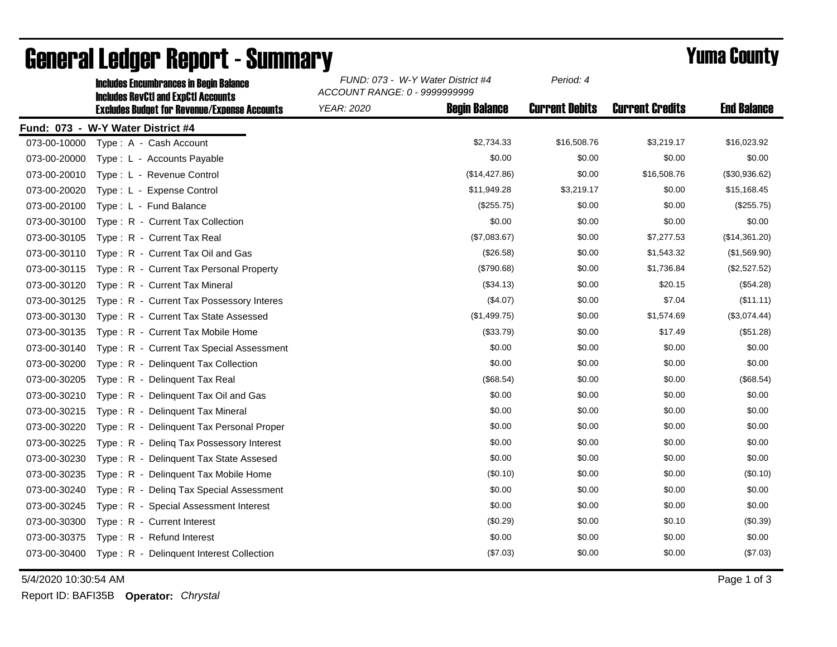|              | <b>Includes Encumbrances in Begin Balance</b><br><b>Includes RevCtI and ExpCtI Accounts</b><br><b>Excludes Budget for Revenue/Expense Accounts</b> | FUND: 073 - W-Y Water District #4<br>ACCOUNT RANGE: 0 - 9999999999 |                      | Period: 4             |                        |                    |
|--------------|----------------------------------------------------------------------------------------------------------------------------------------------------|--------------------------------------------------------------------|----------------------|-----------------------|------------------------|--------------------|
|              |                                                                                                                                                    | <b>YEAR: 2020</b>                                                  | <b>Begin Balance</b> | <b>Current Debits</b> | <b>Current Credits</b> | <b>End Balance</b> |
|              | Fund: 073 - W-Y Water District #4                                                                                                                  |                                                                    |                      |                       |                        |                    |
| 073-00-10000 | Type: A - Cash Account                                                                                                                             |                                                                    | \$2,734.33           | \$16,508.76           | \$3,219.17             | \$16,023.92        |
| 073-00-20000 | Type: L - Accounts Payable                                                                                                                         |                                                                    | \$0.00               | \$0.00                | \$0.00                 | \$0.00             |
| 073-00-20010 | Type: L - Revenue Control                                                                                                                          |                                                                    | (\$14,427.86)        | \$0.00                | \$16,508.76            | (\$30,936.62)      |
| 073-00-20020 | Type: L - Expense Control                                                                                                                          |                                                                    | \$11,949.28          | \$3,219.17            | \$0.00                 | \$15,168.45        |
| 073-00-20100 | Type: L - Fund Balance                                                                                                                             |                                                                    | (\$255.75)           | \$0.00                | \$0.00                 | (\$255.75)         |
| 073-00-30100 | Type: R - Current Tax Collection                                                                                                                   |                                                                    | \$0.00               | \$0.00                | \$0.00                 | \$0.00             |
| 073-00-30105 | Type: R - Current Tax Real                                                                                                                         |                                                                    | (\$7,083.67)         | \$0.00                | \$7,277.53             | (\$14,361.20)      |
| 073-00-30110 | Type: R - Current Tax Oil and Gas                                                                                                                  |                                                                    | (\$26.58)            | \$0.00                | \$1,543.32             | (\$1,569.90)       |
| 073-00-30115 | Type: R - Current Tax Personal Property                                                                                                            |                                                                    | (\$790.68)           | \$0.00                | \$1,736.84             | (\$2,527.52)       |
| 073-00-30120 | Type: R - Current Tax Mineral                                                                                                                      |                                                                    | (\$34.13)            | \$0.00                | \$20.15                | (\$54.28)          |
| 073-00-30125 | Type: R - Current Tax Possessory Interes                                                                                                           |                                                                    | (\$4.07)             | \$0.00                | \$7.04                 | (\$11.11)          |
| 073-00-30130 | Type: R - Current Tax State Assessed                                                                                                               |                                                                    | (\$1,499.75)         | \$0.00                | \$1,574.69             | (\$3,074.44)       |
| 073-00-30135 | Type: R - Current Tax Mobile Home                                                                                                                  |                                                                    | (\$33.79)            | \$0.00                | \$17.49                | (\$51.28)          |
| 073-00-30140 | Type: R - Current Tax Special Assessment                                                                                                           |                                                                    | \$0.00               | \$0.00                | \$0.00                 | \$0.00             |
| 073-00-30200 | Type: R - Delinquent Tax Collection                                                                                                                |                                                                    | \$0.00               | \$0.00                | \$0.00                 | \$0.00             |
| 073-00-30205 | Type: R - Delinguent Tax Real                                                                                                                      |                                                                    | (\$68.54)            | \$0.00                | \$0.00                 | (\$68.54)          |
| 073-00-30210 | Type: R - Delinquent Tax Oil and Gas                                                                                                               |                                                                    | \$0.00               | \$0.00                | \$0.00                 | \$0.00             |
| 073-00-30215 | Type: R - Delinguent Tax Mineral                                                                                                                   |                                                                    | \$0.00               | \$0.00                | \$0.00                 | \$0.00             |
| 073-00-30220 | Type: R - Delinquent Tax Personal Proper                                                                                                           |                                                                    | \$0.00               | \$0.00                | \$0.00                 | \$0.00             |
| 073-00-30225 | Type: R - Deling Tax Possessory Interest                                                                                                           |                                                                    | \$0.00               | \$0.00                | \$0.00                 | \$0.00             |
| 073-00-30230 | Type: R - Delinquent Tax State Assesed                                                                                                             |                                                                    | \$0.00               | \$0.00                | \$0.00                 | \$0.00             |
| 073-00-30235 | Type: R - Delinquent Tax Mobile Home                                                                                                               |                                                                    | (\$0.10)             | \$0.00                | \$0.00                 | (\$0.10)           |
| 073-00-30240 | Type: R - Deling Tax Special Assessment                                                                                                            |                                                                    | \$0.00               | \$0.00                | \$0.00                 | \$0.00             |
| 073-00-30245 | Type: R - Special Assessment Interest                                                                                                              |                                                                    | \$0.00               | \$0.00                | \$0.00                 | \$0.00             |
| 073-00-30300 | Type: R - Current Interest                                                                                                                         |                                                                    | (\$0.29)             | \$0.00                | \$0.10                 | (\$0.39)           |
| 073-00-30375 | Type: R - Refund Interest                                                                                                                          |                                                                    | \$0.00               | \$0.00                | \$0.00                 | \$0.00             |
| 073-00-30400 | Type: R - Delinquent Interest Collection                                                                                                           |                                                                    | (\$7.03)             | \$0.00                | \$0.00                 | (\$7.03)           |

## General Ledger Report - Summary **Example 2018** Yuma County

5/4/2020 10:30:54 AM Page 1 of 3

Report ID: BAFI35B **Operator:** *Chrystal*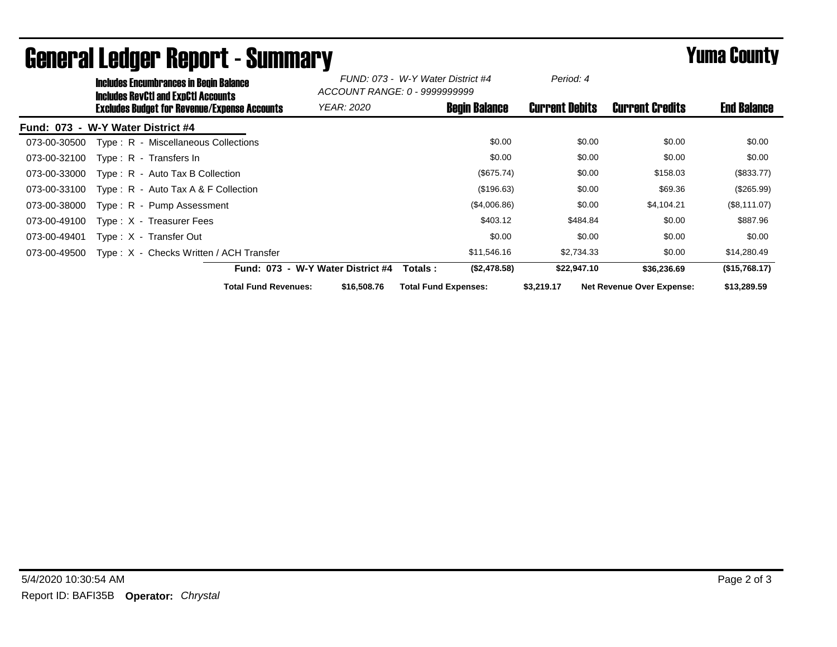|              | <b>Includes Encumbrances in Begin Balance</b><br><b>Includes RevCtI and ExpCtI Accounts</b> |                                   | FUND: 073 - W-Y Water District #4<br>ACCOUNT RANGE: 0 - 9999999999 |                             | Period: 4             |                                  |                    |
|--------------|---------------------------------------------------------------------------------------------|-----------------------------------|--------------------------------------------------------------------|-----------------------------|-----------------------|----------------------------------|--------------------|
|              | <b>Excludes Budget for Revenue/Expense Accounts</b>                                         |                                   | <b>YEAR: 2020</b>                                                  | <b>Begin Balance</b>        | <b>Current Debits</b> | <b>Current Credits</b>           | <b>End Balance</b> |
|              | Fund: 073 - W-Y Water District #4                                                           |                                   |                                                                    |                             |                       |                                  |                    |
| 073-00-30500 | Type: R - Miscellaneous Collections                                                         |                                   |                                                                    | \$0.00                      | \$0.00                | \$0.00                           | \$0.00             |
| 073-00-32100 | Type: R - Transfers In                                                                      |                                   |                                                                    | \$0.00                      | \$0.00                | \$0.00                           | \$0.00             |
| 073-00-33000 | $Type: R - Auto Tax B Collection$                                                           |                                   |                                                                    | (\$675.74)                  | \$0.00                | \$158.03                         | $(\$833.77)$       |
| 073-00-33100 | Type: $R -$ Auto Tax A & F Collection                                                       |                                   |                                                                    | (\$196.63)                  | \$0.00                | \$69.36                          | (\$265.99)         |
| 073-00-38000 | Type: R - Pump Assessment                                                                   |                                   |                                                                    | (\$4,006.86)                | \$0.00                | \$4,104.21                       | (\$8,111.07)       |
| 073-00-49100 | $Type: X - Treasure Fees$                                                                   |                                   |                                                                    | \$403.12                    | \$484.84              | \$0.00                           | \$887.96           |
| 073-00-49401 | Type: X - Transfer Out                                                                      |                                   |                                                                    | \$0.00                      | \$0.00                | \$0.00                           | \$0.00             |
| 073-00-49500 | Type: X - Checks Written / ACH Transfer                                                     |                                   |                                                                    | \$11,546.16                 | \$2,734.33            | \$0.00                           | \$14,280.49        |
|              |                                                                                             | Fund: 073 - W-Y Water District #4 |                                                                    | (\$2,478.58)<br>Totals :    | \$22,947.10           | \$36,236.69                      | (\$15,768.17)      |
|              |                                                                                             | <b>Total Fund Revenues:</b>       | \$16,508.76                                                        | <b>Total Fund Expenses:</b> | \$3,219.17            | <b>Net Revenue Over Expense:</b> | \$13,289.59        |

## General Ledger Report - Summary **Example 2018** Yuma County